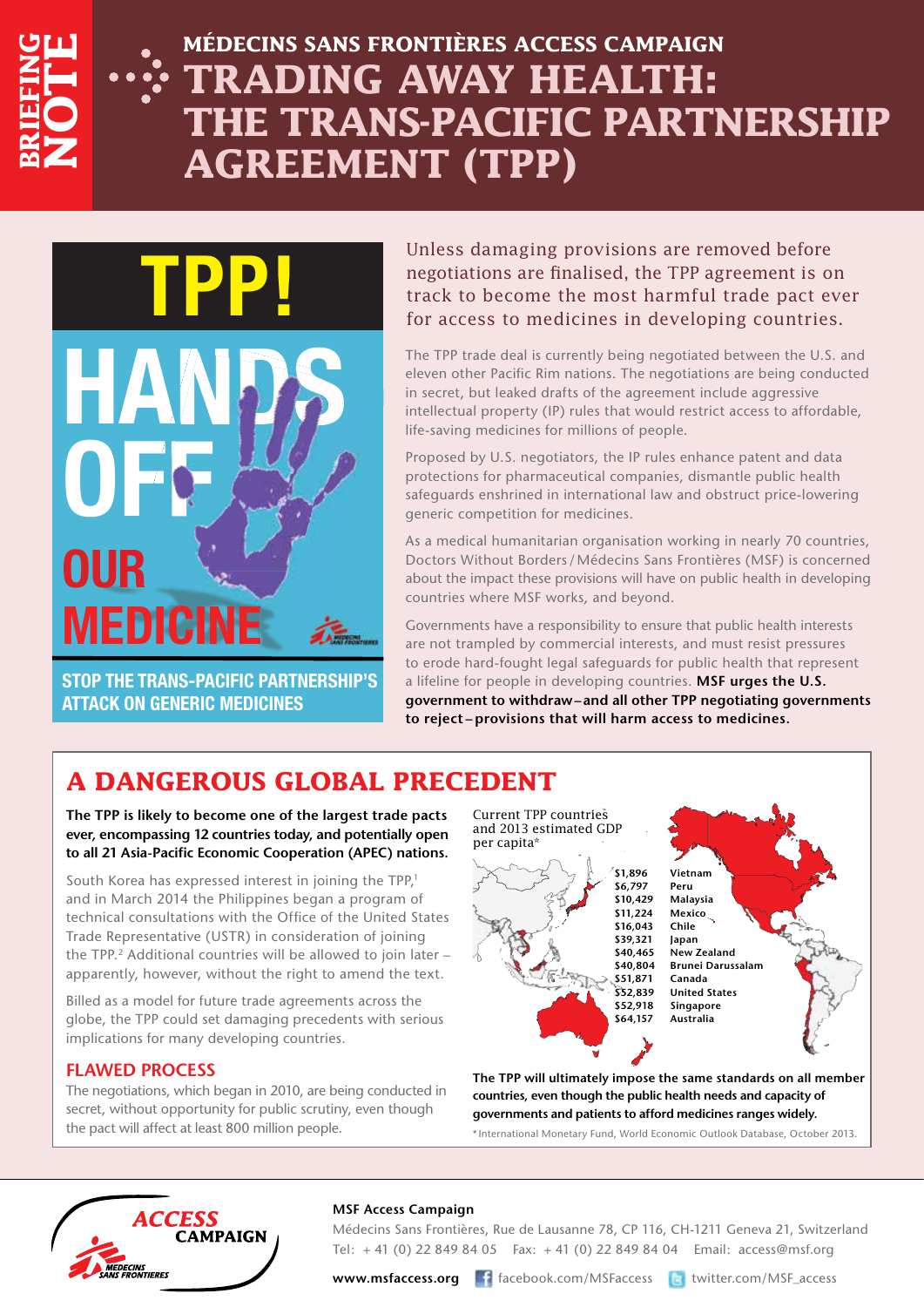

# **Médecins Sans Frontières ACCESS CAMPAIGN Trading Away Health: The Trans-Pacific Partnership Agreement (TPP)**



**ATTACK ON GENERIC MEDICINES**

Unless damaging provisions are removed before negotiations are finalised, the TPP agreement is on track to become the most harmful trade pact ever for access to medicines in developing countries.

The TPP trade deal is currently being negotiated between the U.S. and eleven other Pacific Rim nations. The negotiations are being conducted in secret, but leaked drafts of the agreement include aggressive intellectual property (IP) rules that would restrict access to affordable, life-saving medicines for millions of people.

Proposed by U.S. negotiators, the IP rules enhance patent and data protections for pharmaceutical companies, dismantle public health safeguards enshrined in international law and obstruct price-lowering generic competition for medicines.

As a medical humanitarian organisation working in nearly 70 countries, Doctors Without Borders/ Médecins Sans Frontières (MSF) is concerned about the impact these provisions will have on public health in developing countries where MSF works, and beyond.

Governments have a responsibility to ensure that public health interests are not trampled by commercial interests, and must resist pressures to erode hard-fought legal safeguards for public health that represent a lifeline for people in developing countries. **MSF urges the U.S. government to withdraw–and all other TPP negotiating governments to reject – provisions that will harm access to medicines.**

# **A DANGEROUS GLOBAL PRECEDENT**

**The TPP is likely to become one of the largest trade pacts ever, encompassing 12 countries today, and potentially open to all 21 Asia-Pacific Economic Cooperation (APEC) nations.** 

South Korea has expressed interest in joining the TPP,<sup>1</sup> and in March 2014 the Philippines began a program of technical consultations with the Office of the United States Trade Representative (USTR) in consideration of joining the TPP.<sup>2</sup> Additional countries will be allowed to join later apparently, however, without the right to amend the text.

Billed as a model for future trade agreements across the globe, the TPP could set damaging precedents with serious implications for many developing countries.

### **Flawed Process**

The negotiations, which began in 2010, are being conducted in secret, without opportunity for public scrutiny, even though the pact will affect at least 800 million people.

Current TPP countries and 2013 estimated GDP per capita\*



**\$1,896 Vietnam \$6,797 Peru \$10,429 Malaysia \$11,224 Mexico \$16,043 Chile \$39,321 Japan \$40,465 New Zealand \$40,804 Brunei Darussalam \$51,871 Canada \$52,839 United States \$52,918 Singapore \$64,157 Australia**

**The TPP will ultimately impose the same standards on all member countries, even though the public health needs and capacity of governments and patients to afford medicines ranges widely.**

\* International Monetary Fund, World Economic Outlook Database, October 2013.



#### **MSF Access Campaign**

Médecins Sans Frontières, Rue de Lausanne 78, CP 116, CH-1211 Geneva 21, Switzerland Tel: + 41 (0) 22 849 84 05 Fax: + 41 (0) 22 849 84 04 Email: access@msf.org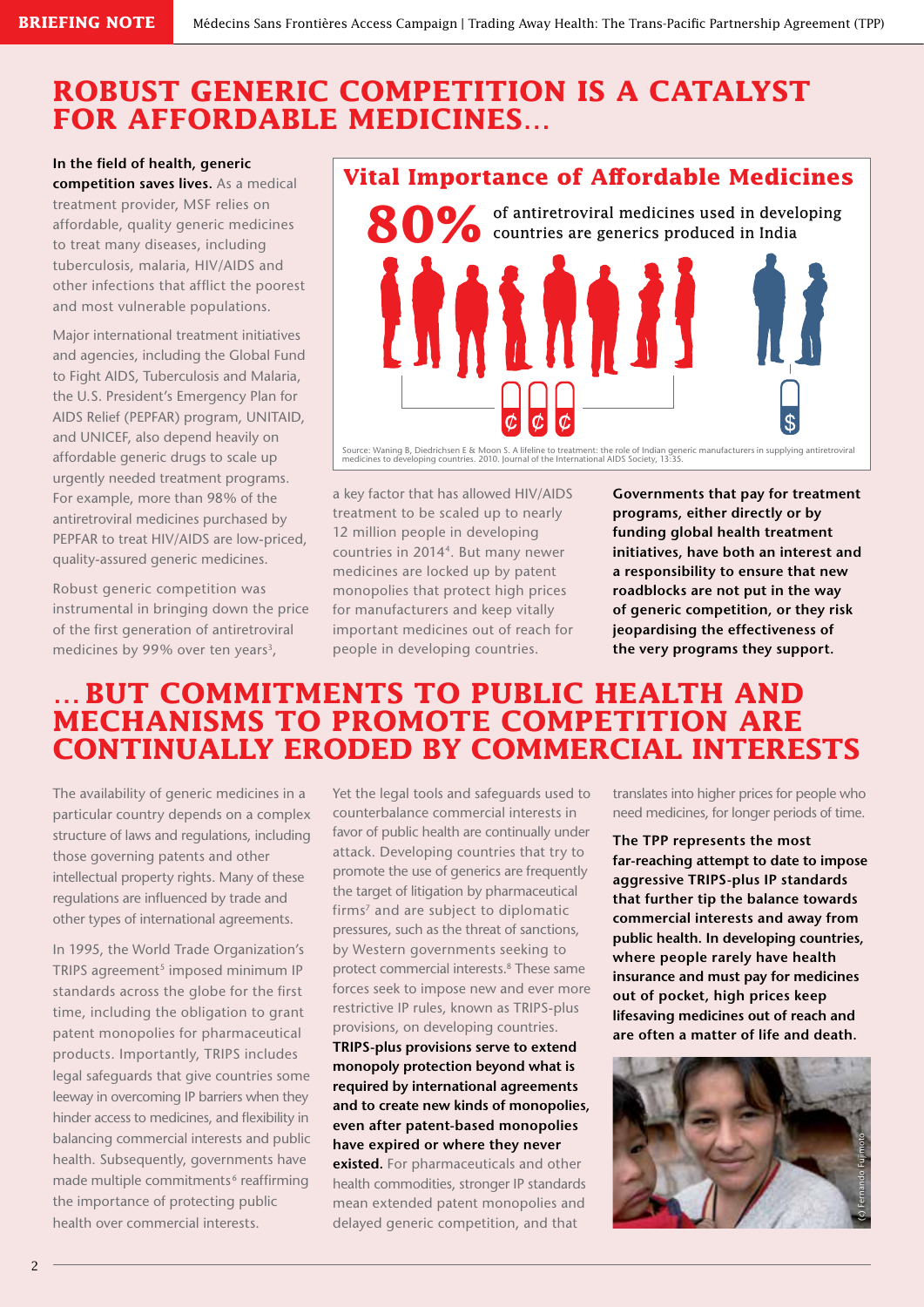## **ROBUST GENERIC COMPETITION IS A CATALYST FOR AFFORDABLE MEDICINES…**

**In the field of health, generic competition saves lives.** As a medical treatment provider, MSF relies on affordable, quality generic medicines to treat many diseases, including tuberculosis, malaria, HIV/AIDS and other infections that afflict the poorest and most vulnerable populations.

Major international treatment initiatives and agencies, including the Global Fund to Fight AIDS, Tuberculosis and Malaria, the U.S. President's Emergency Plan for AIDS Relief (PEPFAR) program, UNITAID, and UNICEF, also depend heavily on affordable generic drugs to scale up urgently needed treatment programs. For example, more than 98% of the antiretroviral medicines purchased by PEPFAR to treat HIV/AIDS are low-priced, quality-assured generic medicines.

Robust generic competition was instrumental in bringing down the price of the first generation of antiretroviral medicines by 99% over ten years<sup>3</sup>,

### **Vital Importance of Affordable Medicines**

80% of antiretroviral medicines used in developing<br>**80%** countries are generics produced in India Source: Waning B, Diedrichsen E & Moon S. A lifeline to treatment: the role of Indian generic manufacturers in supplying antiretroviral<br>medicines to developing countries. 2010. Journal of the International AIDS Society, 13

a key factor that has allowed HIV/AIDS treatment to be scaled up to nearly 12 million people in developing countries in 20144. But many newer medicines are locked up by patent monopolies that protect high prices for manufacturers and keep vitally important medicines out of reach for people in developing countries.

**Governments that pay for treatment programs, either directly or by funding global health treatment initiatives, have both an interest and a responsibility to ensure that new roadblocks are not put in the way of generic competition, or they risk jeopardising the effectiveness of the very programs they support.**

### **…BUT COMMITMENTS TO PUBLIC HEALTH AND MECHANISMS TO PROMOTE COMPETITION ARE CONTINUALLY ERODED BY COMMERCIAL INTERESTS**

The availability of generic medicines in a particular country depends on a complex structure of laws and regulations, including those governing patents and other intellectual property rights. Many of these regulations are influenced by trade and other types of international agreements.

In 1995, the World Trade Organization's TRIPS agreement<sup>5</sup> imposed minimum IP standards across the globe for the first time, including the obligation to grant patent monopolies for pharmaceutical products. Importantly, TRIPS includes legal safeguards that give countries some leeway in overcoming IP barriers when they hinder access to medicines, and flexibility in balancing commercial interests and public health. Subsequently, governments have made multiple commitments<sup>6</sup> reaffirming the importance of protecting public health over commercial interests.

Yet the legal tools and safeguards used to counterbalance commercial interests in favor of public health are continually under attack. Developing countries that try to promote the use of generics are frequently the target of litigation by pharmaceutical firms<sup>7</sup> and are subject to diplomatic pressures, such as the threat of sanctions, by Western governments seeking to protect commercial interests.8 These same forces seek to impose new and ever more restrictive IP rules, known as TRIPS-plus provisions, on developing countries.

**TRIPS-plus provisions serve to extend monopoly protection beyond what is required by international agreements and to create new kinds of monopolies, even after patent-based monopolies have expired or where they never existed.** For pharmaceuticals and other health commodities, stronger IP standards mean extended patent monopolies and delayed generic competition, and that

translates into higher prices for people who need medicines, for longer periods of time.

**The TPP represents the most far-reaching attempt to date to impose aggressive TRIPS-plus IP standards that further tip the balance towards commercial interests and away from public health. In developing countries, where people rarely have health insurance and must pay for medicines out of pocket, high prices keep lifesaving medicines out of reach and are often a matter of life and death.**

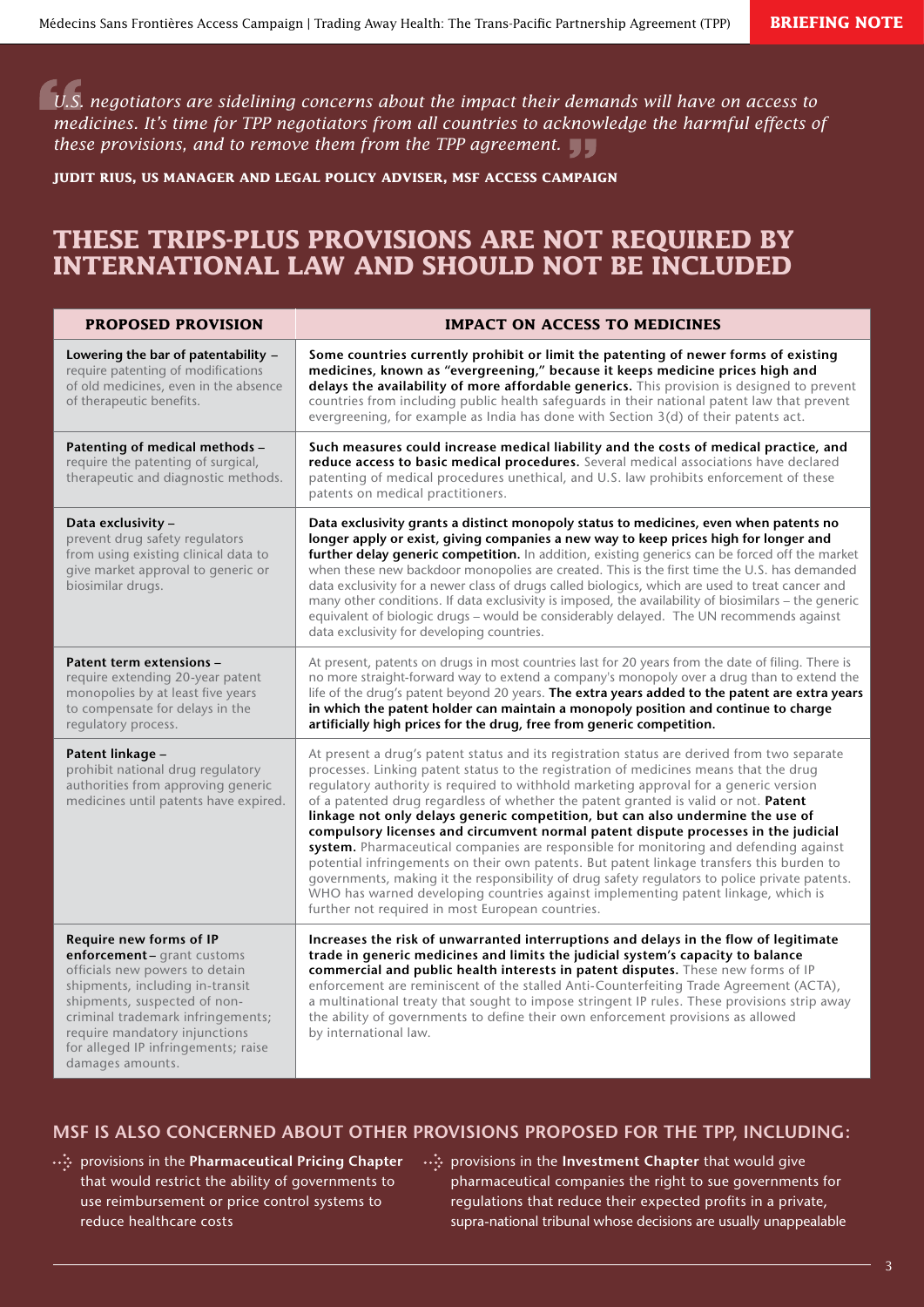*U.S. negotiators are sidelining concerns about the impact their demands will have on access to medicines. It's time for TPP negotiators from all countries to acknowledge the harmful effects of these provisions, and to remove them from the TPP agreement.*

**Judit Rius, US Manager and Legal Policy Adviser, MSF Access Campaign**

### **These TRIPS-plus provisions are not required by international law and SHOULD not be included**

| <b>PROPOSED PROVISION</b>                                                                                                                                                                                                                                                                   | <b>IMPACT ON ACCESS TO MEDICINES</b>                                                                                                                                                                                                                                                                                                                                                                                                                                                                                                                                                                                                                                                                                                                                                                                                                                                                                                                                          |
|---------------------------------------------------------------------------------------------------------------------------------------------------------------------------------------------------------------------------------------------------------------------------------------------|-------------------------------------------------------------------------------------------------------------------------------------------------------------------------------------------------------------------------------------------------------------------------------------------------------------------------------------------------------------------------------------------------------------------------------------------------------------------------------------------------------------------------------------------------------------------------------------------------------------------------------------------------------------------------------------------------------------------------------------------------------------------------------------------------------------------------------------------------------------------------------------------------------------------------------------------------------------------------------|
| Lowering the bar of patentability -<br>require patenting of modifications<br>of old medicines, even in the absence<br>of therapeutic benefits.                                                                                                                                              | Some countries currently prohibit or limit the patenting of newer forms of existing<br>medicines, known as "evergreening," because it keeps medicine prices high and<br>delays the availability of more affordable generics. This provision is designed to prevent<br>countries from including public health safeguards in their national patent law that prevent<br>evergreening, for example as India has done with Section $3(d)$ of their patents act.                                                                                                                                                                                                                                                                                                                                                                                                                                                                                                                    |
| Patenting of medical methods -<br>require the patenting of surgical,<br>therapeutic and diagnostic methods.                                                                                                                                                                                 | Such measures could increase medical liability and the costs of medical practice, and<br>reduce access to basic medical procedures. Several medical associations have declared<br>patenting of medical procedures unethical, and U.S. law prohibits enforcement of these<br>patents on medical practitioners.                                                                                                                                                                                                                                                                                                                                                                                                                                                                                                                                                                                                                                                                 |
| Data exclusivity -<br>prevent drug safety regulators<br>from using existing clinical data to<br>give market approval to generic or<br>biosimilar drugs.                                                                                                                                     | Data exclusivity grants a distinct monopoly status to medicines, even when patents no<br>longer apply or exist, giving companies a new way to keep prices high for longer and<br>further delay generic competition. In addition, existing generics can be forced off the market<br>when these new backdoor monopolies are created. This is the first time the U.S. has demanded<br>data exclusivity for a newer class of drugs called biologics, which are used to treat cancer and<br>many other conditions. If data exclusivity is imposed, the availability of biosimilars - the generic<br>equivalent of biologic drugs - would be considerably delayed. The UN recommends against<br>data exclusivity for developing countries.                                                                                                                                                                                                                                          |
| Patent term extensions -<br>require extending 20-year patent<br>monopolies by at least five years<br>to compensate for delays in the<br>regulatory process.                                                                                                                                 | At present, patents on drugs in most countries last for 20 years from the date of filing. There is<br>no more straight-forward way to extend a company's monopoly over a drug than to extend the<br>life of the drug's patent beyond 20 years. The extra years added to the patent are extra years<br>in which the patent holder can maintain a monopoly position and continue to charge<br>artificially high prices for the drug, free from generic competition.                                                                                                                                                                                                                                                                                                                                                                                                                                                                                                             |
| Patent linkage -<br>prohibit national drug regulatory<br>authorities from approving generic<br>medicines until patents have expired.                                                                                                                                                        | At present a drug's patent status and its registration status are derived from two separate<br>processes. Linking patent status to the registration of medicines means that the drug<br>regulatory authority is required to withhold marketing approval for a generic version<br>of a patented drug regardless of whether the patent granted is valid or not. Patent<br>linkage not only delays generic competition, but can also undermine the use of<br>compulsory licenses and circumvent normal patent dispute processes in the judicial<br>system. Pharmaceutical companies are responsible for monitoring and defending against<br>potential infringements on their own patents. But patent linkage transfers this burden to<br>governments, making it the responsibility of drug safety regulators to police private patents.<br>WHO has warned developing countries against implementing patent linkage, which is<br>further not required in most European countries. |
| Require new forms of IP<br>enforcement- grant customs<br>officials new powers to detain<br>shipments, including in-transit<br>shipments, suspected of non-<br>criminal trademark infringements;<br>require mandatory injunctions<br>for alleged IP infringements; raise<br>damages amounts. | Increases the risk of unwarranted interruptions and delays in the flow of legitimate<br>trade in generic medicines and limits the judicial system's capacity to balance<br>commercial and public health interests in patent disputes. These new forms of IP<br>enforcement are reminiscent of the stalled Anti-Counterfeiting Trade Agreement (ACTA),<br>a multinational treaty that sought to impose stringent IP rules. These provisions strip away<br>the ability of governments to define their own enforcement provisions as allowed<br>by international law.                                                                                                                                                                                                                                                                                                                                                                                                            |

### **MSF is also concerned about other provisions proposed for the TPP, including:**

- provisions in the **Pharmaceutical Pricing Chapter**  that would restrict the ability of governments to use reimbursement or price control systems to reduce healthcare costs
- provisions in the **Investment Chapter** that would give pharmaceutical companies the right to sue governments for regulations that reduce their expected profits in a private, supra-national tribunal whose decisions are usually unappealable